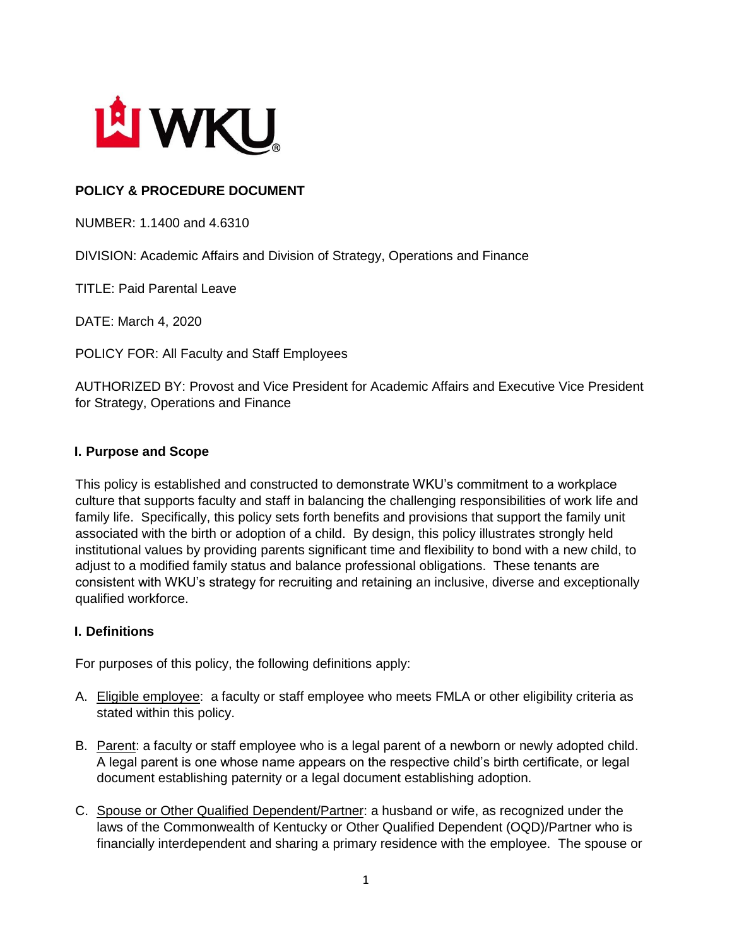

# **POLICY & PROCEDURE DOCUMENT**

NUMBER: 1.1400 and 4.6310

DIVISION: Academic Affairs and Division of Strategy, Operations and Finance

TITLE: Paid Parental Leave

DATE: March 4, 2020

POLICY FOR: All Faculty and Staff Employees

AUTHORIZED BY: Provost and Vice President for Academic Affairs and Executive Vice President for Strategy, Operations and Finance

#### **I. Purpose and Scope**

This policy is established and constructed to demonstrate WKU's commitment to a workplace culture that supports faculty and staff in balancing the challenging responsibilities of work life and family life. Specifically, this policy sets forth benefits and provisions that support the family unit associated with the birth or adoption of a child. By design, this policy illustrates strongly held institutional values by providing parents significant time and flexibility to bond with a new child, to adjust to a modified family status and balance professional obligations. These tenants are consistent with WKU's strategy for recruiting and retaining an inclusive, diverse and exceptionally qualified workforce.

#### **I. Definitions**

For purposes of this policy, the following definitions apply:

- A. Eligible employee: a faculty or staff employee who meets FMLA or other eligibility criteria as stated within this policy.
- B. Parent: a faculty or staff employee who is a legal parent of a newborn or newly adopted child. A legal parent is one whose name appears on the respective child's birth certificate, or legal document establishing paternity or a legal document establishing adoption.
- C. Spouse or Other Qualified Dependent/Partner: a husband or wife, as recognized under the laws of the Commonwealth of Kentucky or Other Qualified Dependent (OQD)/Partner who is financially interdependent and sharing a primary residence with the employee. The spouse or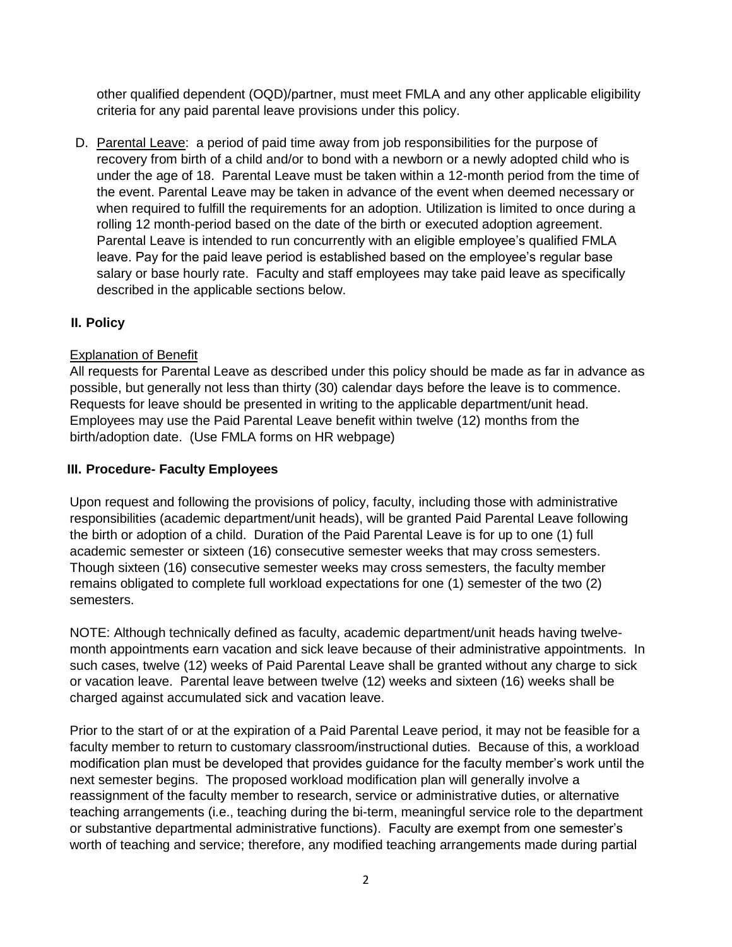other qualified dependent (OQD)/partner, must meet FMLA and any other applicable eligibility criteria for any paid parental leave provisions under this policy.

D. Parental Leave: a period of paid time away from job responsibilities for the purpose of recovery from birth of a child and/or to bond with a newborn or a newly adopted child who is under the age of 18. Parental Leave must be taken within a 12-month period from the time of the event. Parental Leave may be taken in advance of the event when deemed necessary or when required to fulfill the requirements for an adoption. Utilization is limited to once during a rolling 12 month-period based on the date of the birth or executed adoption agreement. Parental Leave is intended to run concurrently with an eligible employee's qualified FMLA leave. Pay for the paid leave period is established based on the employee's regular base salary or base hourly rate. Faculty and staff employees may take paid leave as specifically described in the applicable sections below.

## **II. Policy**

## Explanation of Benefit

All requests for Parental Leave as described under this policy should be made as far in advance as possible, but generally not less than thirty (30) calendar days before the leave is to commence. Requests for leave should be presented in writing to the applicable department/unit head. Employees may use the Paid Parental Leave benefit within twelve (12) months from the birth/adoption date. (Use FMLA forms on HR webpage)

#### **III. Procedure- Faculty Employees**

Upon request and following the provisions of policy, faculty, including those with administrative responsibilities (academic department/unit heads), will be granted Paid Parental Leave following the birth or adoption of a child. Duration of the Paid Parental Leave is for up to one (1) full academic semester or sixteen (16) consecutive semester weeks that may cross semesters. Though sixteen (16) consecutive semester weeks may cross semesters, the faculty member remains obligated to complete full workload expectations for one (1) semester of the two (2) semesters.

NOTE: Although technically defined as faculty, academic department/unit heads having twelvemonth appointments earn vacation and sick leave because of their administrative appointments. In such cases, twelve (12) weeks of Paid Parental Leave shall be granted without any charge to sick or vacation leave. Parental leave between twelve (12) weeks and sixteen (16) weeks shall be charged against accumulated sick and vacation leave.

Prior to the start of or at the expiration of a Paid Parental Leave period, it may not be feasible for a faculty member to return to customary classroom/instructional duties. Because of this, a workload modification plan must be developed that provides guidance for the faculty member's work until the next semester begins. The proposed workload modification plan will generally involve a reassignment of the faculty member to research, service or administrative duties, or alternative teaching arrangements (i.e., teaching during the bi-term, meaningful service role to the department or substantive departmental administrative functions). Faculty are exempt from one semester's worth of teaching and service; therefore, any modified teaching arrangements made during partial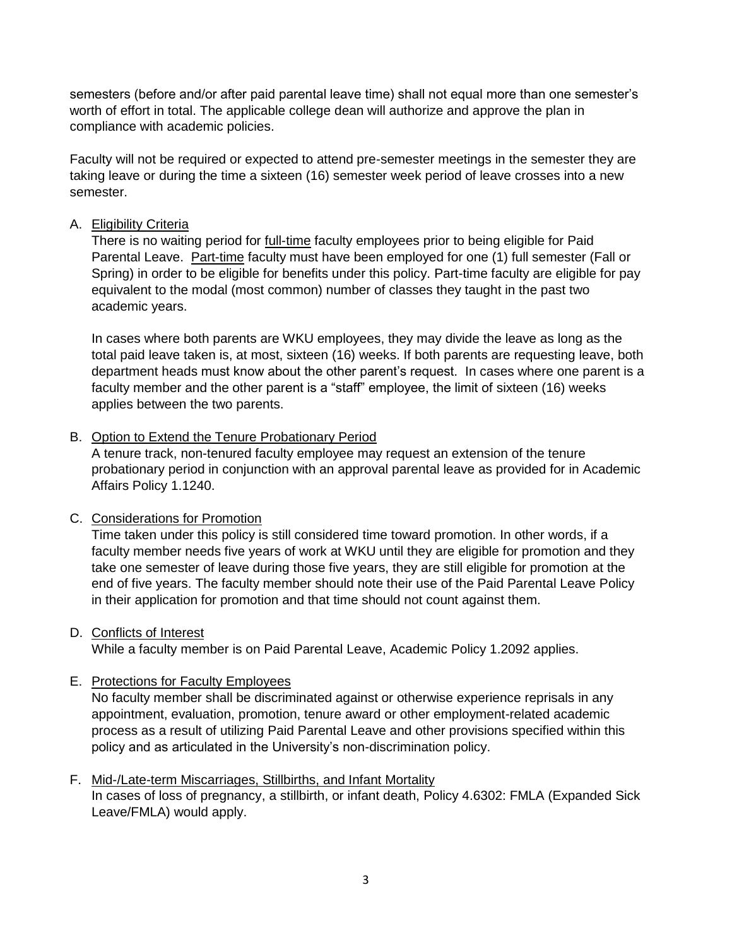semesters (before and/or after paid parental leave time) shall not equal more than one semester's worth of effort in total. The applicable college dean will authorize and approve the plan in compliance with academic policies.

Faculty will not be required or expected to attend pre-semester meetings in the semester they are taking leave or during the time a sixteen (16) semester week period of leave crosses into a new semester.

### A. Eligibility Criteria

There is no waiting period for full-time faculty employees prior to being eligible for Paid Parental Leave. Part-time faculty must have been employed for one (1) full semester (Fall or Spring) in order to be eligible for benefits under this policy. Part-time faculty are eligible for pay equivalent to the modal (most common) number of classes they taught in the past two academic years.

In cases where both parents are WKU employees, they may divide the leave as long as the total paid leave taken is, at most, sixteen (16) weeks. If both parents are requesting leave, both department heads must know about the other parent's request. In cases where one parent is a faculty member and the other parent is a "staff" employee, the limit of sixteen (16) weeks applies between the two parents.

#### B. Option to Extend the Tenure Probationary Period

A tenure track, non-tenured faculty employee may request an extension of the tenure probationary period in conjunction with an approval parental leave as provided for in Academic Affairs Policy 1.1240.

#### C. Considerations for Promotion

Time taken under this policy is still considered time toward promotion. In other words, if a faculty member needs five years of work at WKU until they are eligible for promotion and they take one semester of leave during those five years, they are still eligible for promotion at the end of five years. The faculty member should note their use of the Paid Parental Leave Policy in their application for promotion and that time should not count against them.

#### D. Conflicts of Interest

While a faculty member is on Paid Parental Leave, Academic Policy 1.2092 applies.

#### E. Protections for Faculty Employees

No faculty member shall be discriminated against or otherwise experience reprisals in any appointment, evaluation, promotion, tenure award or other employment-related academic process as a result of utilizing Paid Parental Leave and other provisions specified within this policy and as articulated in the University's non-discrimination policy.

#### F. Mid-/Late-term Miscarriages, Stillbirths, and Infant Mortality

In cases of loss of pregnancy, a stillbirth, or infant death, Policy 4.6302: FMLA (Expanded Sick Leave/FMLA) would apply.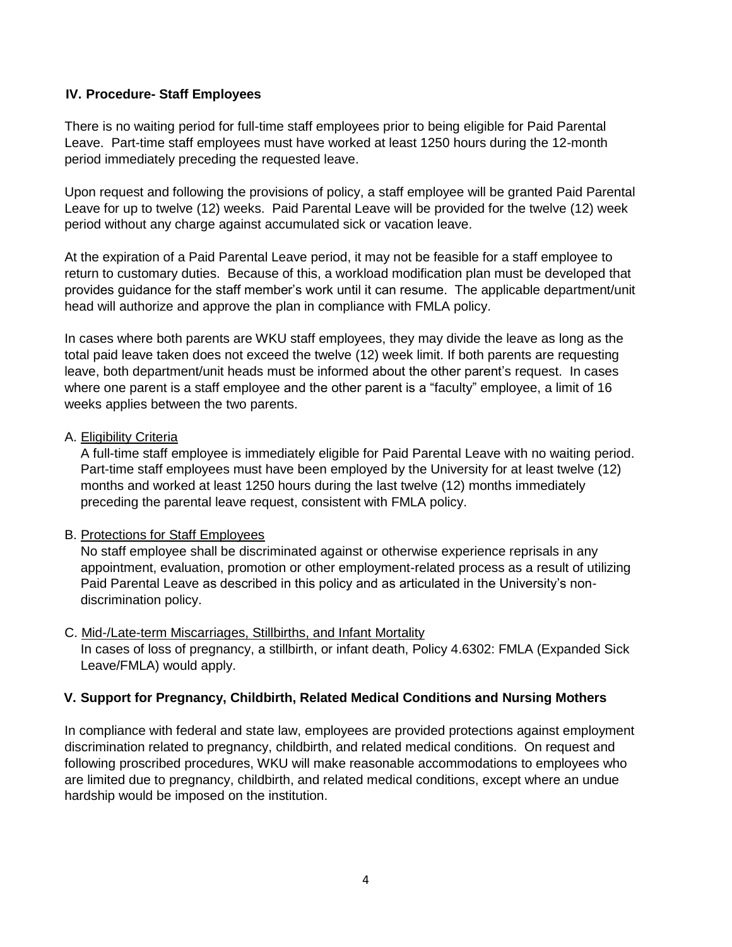## **IV. Procedure- Staff Employees**

There is no waiting period for full-time staff employees prior to being eligible for Paid Parental Leave. Part-time staff employees must have worked at least 1250 hours during the 12-month period immediately preceding the requested leave.

Upon request and following the provisions of policy, a staff employee will be granted Paid Parental Leave for up to twelve (12) weeks. Paid Parental Leave will be provided for the twelve (12) week period without any charge against accumulated sick or vacation leave.

At the expiration of a Paid Parental Leave period, it may not be feasible for a staff employee to return to customary duties. Because of this, a workload modification plan must be developed that provides guidance for the staff member's work until it can resume. The applicable department/unit head will authorize and approve the plan in compliance with FMLA policy.

In cases where both parents are WKU staff employees, they may divide the leave as long as the total paid leave taken does not exceed the twelve (12) week limit. If both parents are requesting leave, both department/unit heads must be informed about the other parent's request. In cases where one parent is a staff employee and the other parent is a "faculty" employee, a limit of 16 weeks applies between the two parents.

#### A. Eligibility Criteria

A full-time staff employee is immediately eligible for Paid Parental Leave with no waiting period. Part-time staff employees must have been employed by the University for at least twelve (12) months and worked at least 1250 hours during the last twelve (12) months immediately preceding the parental leave request, consistent with FMLA policy.

#### B. Protections for Staff Employees

No staff employee shall be discriminated against or otherwise experience reprisals in any appointment, evaluation, promotion or other employment-related process as a result of utilizing Paid Parental Leave as described in this policy and as articulated in the University's nondiscrimination policy.

#### C. Mid-/Late-term Miscarriages, Stillbirths, and Infant Mortality

In cases of loss of pregnancy, a stillbirth, or infant death, Policy 4.6302: FMLA (Expanded Sick Leave/FMLA) would apply.

## **V. Support for Pregnancy, Childbirth, Related Medical Conditions and Nursing Mothers**

In compliance with federal and state law, employees are provided protections against employment discrimination related to pregnancy, childbirth, and related medical conditions. On request and following proscribed procedures, WKU will make reasonable accommodations to employees who are limited due to pregnancy, childbirth, and related medical conditions, except where an undue hardship would be imposed on the institution.